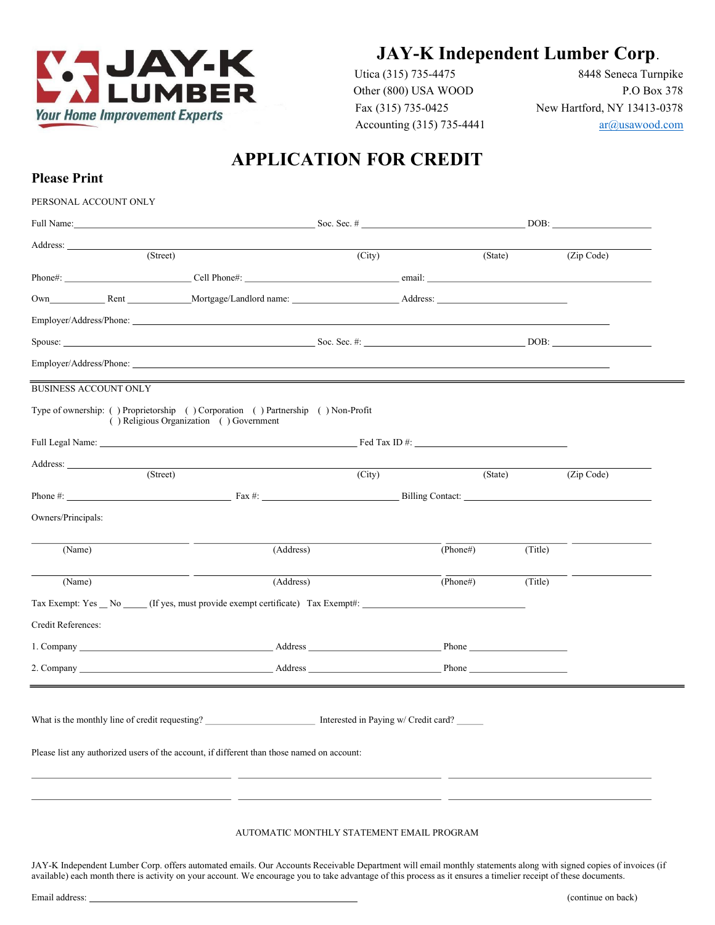

Please Print

Utica (315) 735-4475 8448 Seneca Turnpike Other (800) USA WOOD P.O Box 378 Fax (315) 735-0425 New Hartford, NY 13413-0378 Accounting (315) 735-4441  $ar(\hat{a})$ usawood.com

# APPLICATION FOR CREDIT

| PERSONAL ACCOUNT ONLY        |                                                                                                                                                                                                                                |                                           |          |         |                      |  |
|------------------------------|--------------------------------------------------------------------------------------------------------------------------------------------------------------------------------------------------------------------------------|-------------------------------------------|----------|---------|----------------------|--|
|                              |                                                                                                                                                                                                                                |                                           |          |         |                      |  |
|                              |                                                                                                                                                                                                                                |                                           |          |         |                      |  |
| (Street)                     |                                                                                                                                                                                                                                | (City)                                    | (State)  |         | (Zip Code)           |  |
|                              |                                                                                                                                                                                                                                |                                           |          |         |                      |  |
|                              | Own Rent Rent Mortgage/Landlord name: Address: Address:                                                                                                                                                                        |                                           |          |         |                      |  |
|                              |                                                                                                                                                                                                                                |                                           |          |         |                      |  |
|                              |                                                                                                                                                                                                                                |                                           |          |         |                      |  |
|                              | Employer/Address/Phone:                                                                                                                                                                                                        |                                           |          |         |                      |  |
| <b>BUSINESS ACCOUNT ONLY</b> |                                                                                                                                                                                                                                |                                           |          |         |                      |  |
|                              | Type of ownership: () Proprietorship () Corporation () Partnership () Non-Profit<br>() Religious Organization () Government                                                                                                    |                                           |          |         |                      |  |
|                              |                                                                                                                                                                                                                                |                                           |          |         |                      |  |
|                              |                                                                                                                                                                                                                                |                                           |          |         |                      |  |
| (Street)                     |                                                                                                                                                                                                                                | (City)                                    | (State)  |         | (Zip Code)           |  |
|                              |                                                                                                                                                                                                                                |                                           |          |         |                      |  |
| Owners/Principals:           |                                                                                                                                                                                                                                |                                           |          |         |                      |  |
|                              |                                                                                                                                                                                                                                |                                           |          |         |                      |  |
| (Name)                       | (Address)                                                                                                                                                                                                                      |                                           | (Phone#) | (Title) |                      |  |
| (Name)                       | (Address)                                                                                                                                                                                                                      |                                           | (Phone#) | (Title) | $\sim$ $\sim$ $\sim$ |  |
|                              |                                                                                                                                                                                                                                |                                           |          |         |                      |  |
| Credit References:           |                                                                                                                                                                                                                                |                                           |          |         |                      |  |
|                              |                                                                                                                                                                                                                                |                                           |          |         |                      |  |
|                              | 2. Company Phone Phone Phone Phone Phone Phone Phone Phone Phone Phone Phone Phone Phone Phone Phone Phone Phone Phone Phone Phone Phone Phone Phone Phone Phone Phone Phone Phone Phone Phone Phone Phone Phone Phone Phone P |                                           |          |         |                      |  |
|                              | <u> 1989 - Andrea Santa Alemania, amerikana amerikana amerikana amerikana amerikana amerikana amerikana amerikan</u>                                                                                                           |                                           |          |         |                      |  |
|                              |                                                                                                                                                                                                                                |                                           |          |         |                      |  |
|                              |                                                                                                                                                                                                                                |                                           |          |         |                      |  |
|                              | Please list any authorized users of the account, if different than those named on account:                                                                                                                                     |                                           |          |         |                      |  |
|                              |                                                                                                                                                                                                                                |                                           |          |         |                      |  |
|                              |                                                                                                                                                                                                                                |                                           |          |         |                      |  |
|                              |                                                                                                                                                                                                                                |                                           |          |         |                      |  |
|                              |                                                                                                                                                                                                                                | AUTOMATIC MONTHLY STATEMENT EMAIL PROGRAM |          |         |                      |  |

JAY-K Independent Lumber Corp. offers automated emails. Our Accounts Receivable Department will email monthly statements along with signed copies of invoices (if available) each month there is activity on your account. We encourage you to take advantage of this process as it ensures a timelier receipt of these documents.